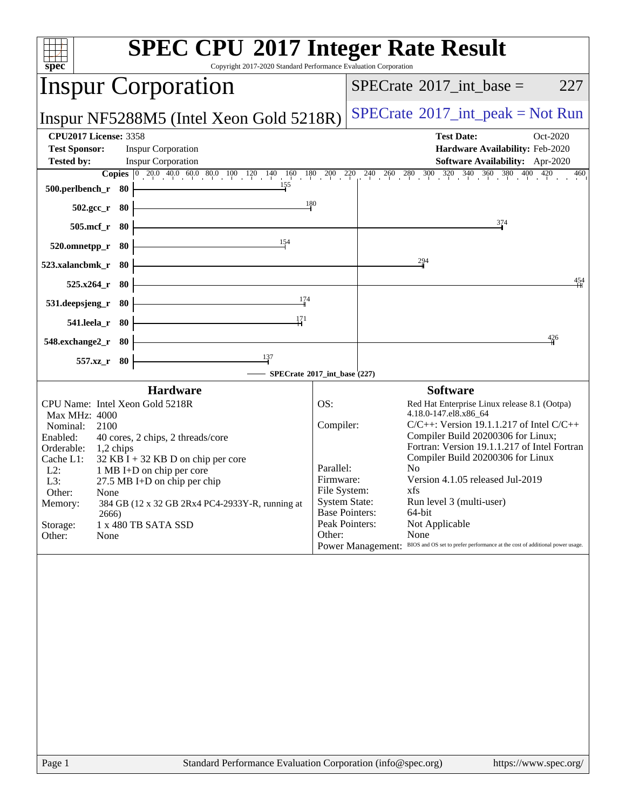| $spec^*$                                                                                                                                                                            | <b>SPEC CPU®2017 Integer Rate Result</b><br>Copyright 2017-2020 Standard Performance Evaluation Corporation                                                                                                                                                            |                                                                                                                                                              |                                                                                                                                                                                                                                                                                                                                                                                                                                                                        |
|-------------------------------------------------------------------------------------------------------------------------------------------------------------------------------------|------------------------------------------------------------------------------------------------------------------------------------------------------------------------------------------------------------------------------------------------------------------------|--------------------------------------------------------------------------------------------------------------------------------------------------------------|------------------------------------------------------------------------------------------------------------------------------------------------------------------------------------------------------------------------------------------------------------------------------------------------------------------------------------------------------------------------------------------------------------------------------------------------------------------------|
|                                                                                                                                                                                     | <b>Inspur Corporation</b>                                                                                                                                                                                                                                              |                                                                                                                                                              | $SPECTate$ <sup>®</sup> 2017_int_base =<br>227                                                                                                                                                                                                                                                                                                                                                                                                                         |
|                                                                                                                                                                                     | Inspur NF5288M5 (Intel Xeon Gold 5218R)                                                                                                                                                                                                                                |                                                                                                                                                              | $SPECrate^{\circledast}2017\_int\_peak = Not Run$                                                                                                                                                                                                                                                                                                                                                                                                                      |
| <b>CPU2017 License: 3358</b><br><b>Test Sponsor:</b><br><b>Tested by:</b>                                                                                                           | <b>Inspur Corporation</b><br><b>Inspur Corporation</b>                                                                                                                                                                                                                 |                                                                                                                                                              | <b>Test Date:</b><br>Oct-2020<br>Hardware Availability: Feb-2020<br>Software Availability: Apr-2020                                                                                                                                                                                                                                                                                                                                                                    |
| 500.perlbench_r 80                                                                                                                                                                  | <b>Copies</b> $\begin{bmatrix} 0 & 20 & 0 & 40 & 0 & 60 & 80 & 10 & 120 \end{bmatrix}$ $\begin{bmatrix} 1 & 40 & 160 & 180 & 200 & 220 & 240 & 260 & 280 & 300 & 320 & 340 & 360 & 380 & 400 & 420 \end{bmatrix}$<br>155                                               |                                                                                                                                                              | 460                                                                                                                                                                                                                                                                                                                                                                                                                                                                    |
| $502.\text{gcc}_r$ 80<br>505.mcf_r 80                                                                                                                                               | 180<br><u> 1980 - Johann Barn, mars eta bainar eta idazlea (</u>                                                                                                                                                                                                       |                                                                                                                                                              | 374                                                                                                                                                                                                                                                                                                                                                                                                                                                                    |
| 520.omnetpp_r 80                                                                                                                                                                    | 154                                                                                                                                                                                                                                                                    |                                                                                                                                                              |                                                                                                                                                                                                                                                                                                                                                                                                                                                                        |
| 523.xalancbmk_r 80<br>$525.x264_r$ 80                                                                                                                                               |                                                                                                                                                                                                                                                                        |                                                                                                                                                              | $\frac{294}{9}$<br>454                                                                                                                                                                                                                                                                                                                                                                                                                                                 |
| 531.deepsjeng_r                                                                                                                                                                     | 174<br>- 80<br>171                                                                                                                                                                                                                                                     |                                                                                                                                                              |                                                                                                                                                                                                                                                                                                                                                                                                                                                                        |
| 541.leela_r 80<br>548.exchange2_r 80                                                                                                                                                |                                                                                                                                                                                                                                                                        |                                                                                                                                                              | 426                                                                                                                                                                                                                                                                                                                                                                                                                                                                    |
| 557.xz_r 80                                                                                                                                                                         | $\frac{137}{ }$                                                                                                                                                                                                                                                        | $-$ SPECrate®2017_int_base (227)                                                                                                                             |                                                                                                                                                                                                                                                                                                                                                                                                                                                                        |
| <b>Max MHz: 4000</b><br>Nominal:<br>2100<br>Enabled:<br>Orderable:<br>$1,2$ chips<br>Cache L1:<br>$L2$ :<br>L3:<br>Other:<br>None<br>Memory:<br>2666)<br>Storage:<br>Other:<br>None | <b>Hardware</b><br>CPU Name: Intel Xeon Gold 5218R<br>40 cores, 2 chips, 2 threads/core<br>$32$ KB I + 32 KB D on chip per core<br>1 MB I+D on chip per core<br>27.5 MB I+D on chip per chip<br>384 GB (12 x 32 GB 2Rx4 PC4-2933Y-R, running at<br>1 x 480 TB SATA SSD | OS:<br>Compiler:<br>Parallel:<br>Firmware:<br>File System:<br><b>System State:</b><br><b>Base Pointers:</b><br>Peak Pointers:<br>Other:<br>Power Management: | <b>Software</b><br>Red Hat Enterprise Linux release 8.1 (Ootpa)<br>4.18.0-147.el8.x86_64<br>$C/C++$ : Version 19.1.1.217 of Intel $C/C++$<br>Compiler Build 20200306 for Linux;<br>Fortran: Version 19.1.1.217 of Intel Fortran<br>Compiler Build 20200306 for Linux<br>No<br>Version 4.1.05 released Jul-2019<br>xfs.<br>Run level 3 (multi-user)<br>64-bit<br>Not Applicable<br>None<br>BIOS and OS set to prefer performance at the cost of additional power usage. |
| Page 1                                                                                                                                                                              | Standard Performance Evaluation Corporation (info@spec.org)                                                                                                                                                                                                            |                                                                                                                                                              | https://www.spec.org/                                                                                                                                                                                                                                                                                                                                                                                                                                                  |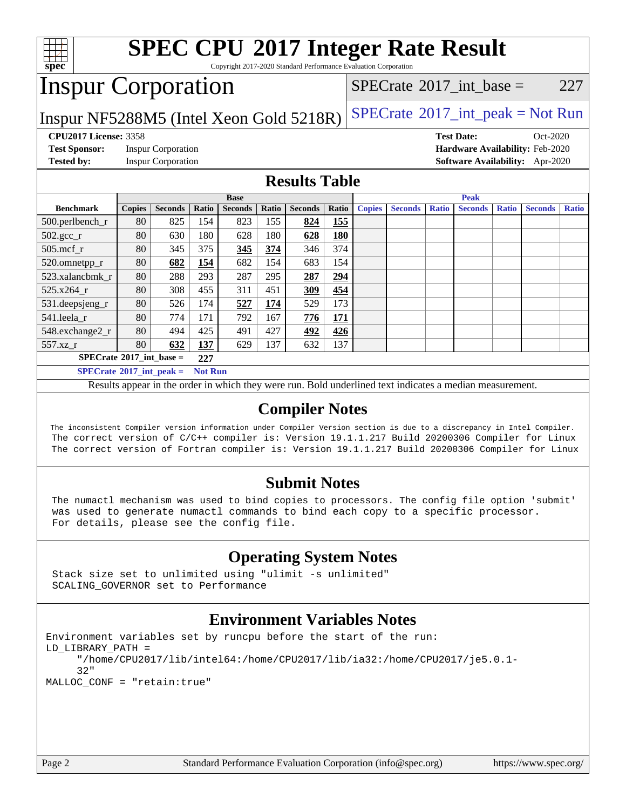

 The inconsistent Compiler version information under Compiler Version section is due to a discrepancy in Intel Compiler. The correct version of C/C++ compiler is: Version 19.1.1.217 Build 20200306 Compiler for Linux The correct version of Fortran compiler is: Version 19.1.1.217 Build 20200306 Compiler for Linux

### **[Submit Notes](http://www.spec.org/auto/cpu2017/Docs/result-fields.html#SubmitNotes)**

 The numactl mechanism was used to bind copies to processors. The config file option 'submit' was used to generate numactl commands to bind each copy to a specific processor. For details, please see the config file.

### **[Operating System Notes](http://www.spec.org/auto/cpu2017/Docs/result-fields.html#OperatingSystemNotes)**

 Stack size set to unlimited using "ulimit -s unlimited" SCALING\_GOVERNOR set to Performance

### **[Environment Variables Notes](http://www.spec.org/auto/cpu2017/Docs/result-fields.html#EnvironmentVariablesNotes)**

```
Environment variables set by runcpu before the start of the run:
LD_LIBRARY_PATH =
      "/home/CPU2017/lib/intel64:/home/CPU2017/lib/ia32:/home/CPU2017/je5.0.1-
      32"
MALLOC_CONF = "retain:true"
```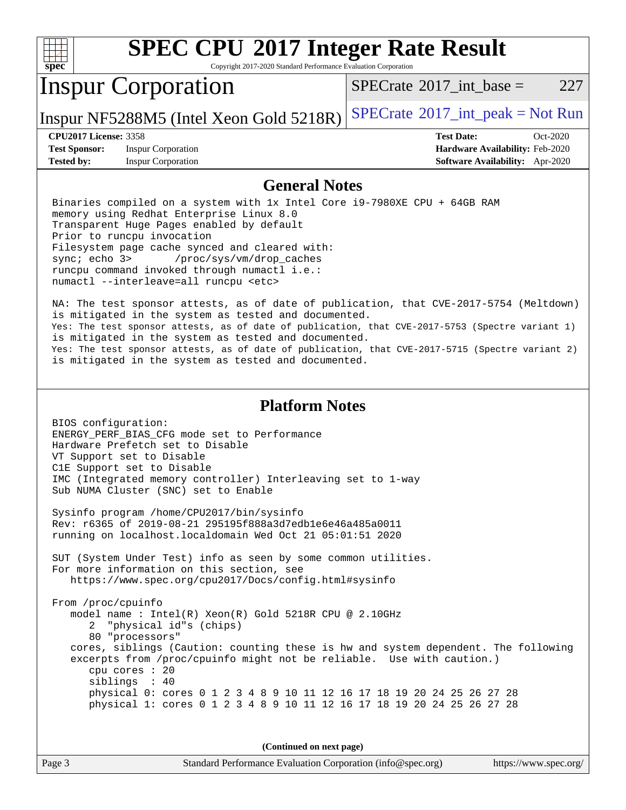| x<br>е<br>ı |  |  |  |  |  |
|-------------|--|--|--|--|--|

Copyright 2017-2020 Standard Performance Evaluation Corporation

# Inspur Corporation

[SPECrate](http://www.spec.org/auto/cpu2017/Docs/result-fields.html#SPECrate2017intbase)®2017 int\_base =  $227$ 

Inspur NF5288M5 (Intel Xeon Gold  $5218R$ ) [SPECrate](http://www.spec.org/auto/cpu2017/Docs/result-fields.html#SPECrate2017intpeak)®[2017\\_int\\_peak = N](http://www.spec.org/auto/cpu2017/Docs/result-fields.html#SPECrate2017intpeak)ot Run

**[Test Sponsor:](http://www.spec.org/auto/cpu2017/Docs/result-fields.html#TestSponsor)** Inspur Corporation **[Hardware Availability:](http://www.spec.org/auto/cpu2017/Docs/result-fields.html#HardwareAvailability)** Feb-2020 **[Tested by:](http://www.spec.org/auto/cpu2017/Docs/result-fields.html#Testedby)** Inspur Corporation **[Software Availability:](http://www.spec.org/auto/cpu2017/Docs/result-fields.html#SoftwareAvailability)** Apr-2020

**[CPU2017 License:](http://www.spec.org/auto/cpu2017/Docs/result-fields.html#CPU2017License)** 3358 **[Test Date:](http://www.spec.org/auto/cpu2017/Docs/result-fields.html#TestDate)** Oct-2020

### **[General Notes](http://www.spec.org/auto/cpu2017/Docs/result-fields.html#GeneralNotes)**

 Binaries compiled on a system with 1x Intel Core i9-7980XE CPU + 64GB RAM memory using Redhat Enterprise Linux 8.0 Transparent Huge Pages enabled by default Prior to runcpu invocation Filesystem page cache synced and cleared with: sync; echo 3> /proc/sys/vm/drop\_caches runcpu command invoked through numactl i.e.: numactl --interleave=all runcpu <etc>

 NA: The test sponsor attests, as of date of publication, that CVE-2017-5754 (Meltdown) is mitigated in the system as tested and documented. Yes: The test sponsor attests, as of date of publication, that CVE-2017-5753 (Spectre variant 1) is mitigated in the system as tested and documented. Yes: The test sponsor attests, as of date of publication, that CVE-2017-5715 (Spectre variant 2) is mitigated in the system as tested and documented.

### **[Platform Notes](http://www.spec.org/auto/cpu2017/Docs/result-fields.html#PlatformNotes)**

 BIOS configuration: ENERGY\_PERF\_BIAS\_CFG mode set to Performance Hardware Prefetch set to Disable VT Support set to Disable C1E Support set to Disable IMC (Integrated memory controller) Interleaving set to 1-way Sub NUMA Cluster (SNC) set to Enable

 Sysinfo program /home/CPU2017/bin/sysinfo Rev: r6365 of 2019-08-21 295195f888a3d7edb1e6e46a485a0011 running on localhost.localdomain Wed Oct 21 05:01:51 2020

 SUT (System Under Test) info as seen by some common utilities. For more information on this section, see <https://www.spec.org/cpu2017/Docs/config.html#sysinfo>

 From /proc/cpuinfo model name : Intel(R) Xeon(R) Gold 5218R CPU @ 2.10GHz 2 "physical id"s (chips) 80 "processors" cores, siblings (Caution: counting these is hw and system dependent. The following excerpts from /proc/cpuinfo might not be reliable. Use with caution.) cpu cores : 20 siblings : 40 physical 0: cores 0 1 2 3 4 8 9 10 11 12 16 17 18 19 20 24 25 26 27 28 physical 1: cores 0 1 2 3 4 8 9 10 11 12 16 17 18 19 20 24 25 26 27 28

**(Continued on next page)**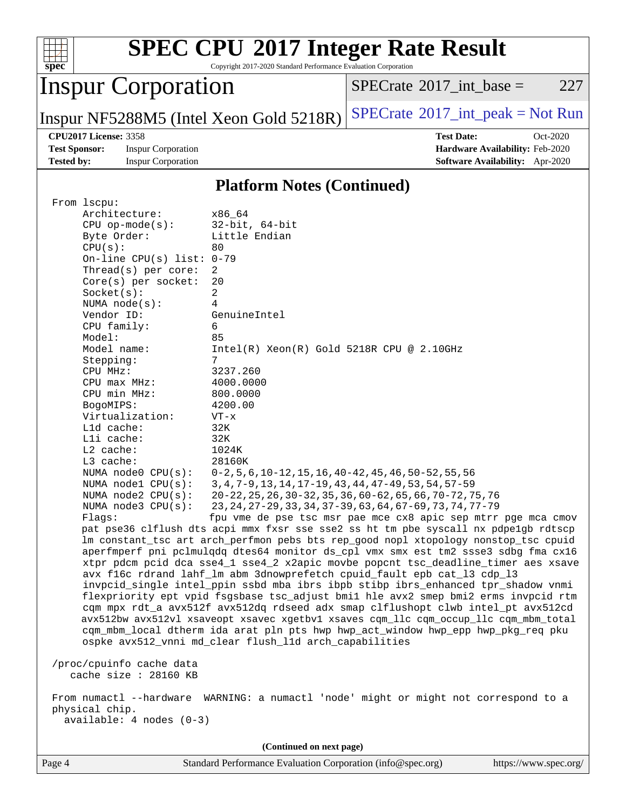| ч<br>e<br>L. |  |  |  |  |  |
|--------------|--|--|--|--|--|

Copyright 2017-2020 Standard Performance Evaluation Corporation

# Inspur Corporation

 $SPECTate@2017_int\_base = 227$ 

Inspur NF5288M5 (Intel Xeon Gold  $5218R$ ) [SPECrate](http://www.spec.org/auto/cpu2017/Docs/result-fields.html#SPECrate2017intpeak)®[2017\\_int\\_peak = N](http://www.spec.org/auto/cpu2017/Docs/result-fields.html#SPECrate2017intpeak)ot Run

**[Test Sponsor:](http://www.spec.org/auto/cpu2017/Docs/result-fields.html#TestSponsor)** Inspur Corporation **[Hardware Availability:](http://www.spec.org/auto/cpu2017/Docs/result-fields.html#HardwareAvailability)** Feb-2020 **[Tested by:](http://www.spec.org/auto/cpu2017/Docs/result-fields.html#Testedby)** Inspur Corporation **[Software Availability:](http://www.spec.org/auto/cpu2017/Docs/result-fields.html#SoftwareAvailability)** Apr-2020

**[CPU2017 License:](http://www.spec.org/auto/cpu2017/Docs/result-fields.html#CPU2017License)** 3358 **[Test Date:](http://www.spec.org/auto/cpu2017/Docs/result-fields.html#TestDate)** Oct-2020

### **[Platform Notes \(Continued\)](http://www.spec.org/auto/cpu2017/Docs/result-fields.html#PlatformNotes)**

| From 1scpu:                 |                                                                                      |  |  |  |
|-----------------------------|--------------------------------------------------------------------------------------|--|--|--|
| Architecture:               | x86 64                                                                               |  |  |  |
| $CPU$ op-mode( $s$ ):       | $32$ -bit, $64$ -bit                                                                 |  |  |  |
| Byte Order:                 | Little Endian                                                                        |  |  |  |
| CPU(s):                     | 80                                                                                   |  |  |  |
| On-line CPU(s) list: $0-79$ |                                                                                      |  |  |  |
| Thread( $s$ ) per core:     | 2                                                                                    |  |  |  |
| Core(s) per socket:         | 20                                                                                   |  |  |  |
| Socket(s):                  | $\overline{a}$                                                                       |  |  |  |
| NUMA node(s):               | $\overline{4}$                                                                       |  |  |  |
| Vendor ID:                  | GenuineIntel                                                                         |  |  |  |
| CPU family:                 | 6                                                                                    |  |  |  |
| Model:                      | 85                                                                                   |  |  |  |
| Model name:                 | $Intel(R) Xeon(R) Gold 5218R CPU @ 2.10GHz$                                          |  |  |  |
| Stepping:                   | 7                                                                                    |  |  |  |
| CPU MHz:                    | 3237.260                                                                             |  |  |  |
| $CPU$ max $MHz$ :           | 4000.0000                                                                            |  |  |  |
| CPU min MHz:                | 800.0000                                                                             |  |  |  |
| BogoMIPS:                   | 4200.00                                                                              |  |  |  |
| Virtualization:             | $VT - x$                                                                             |  |  |  |
| L1d cache:                  | 32K                                                                                  |  |  |  |
| Lli cache:                  | 32K                                                                                  |  |  |  |
| $L2$ cache:                 | 1024K                                                                                |  |  |  |
| $L3$ cache:                 | 28160K                                                                               |  |  |  |
| NUMA $node0$ $CPU(s)$ :     | $0-2, 5, 6, 10-12, 15, 16, 40-42, 45, 46, 50-52, 55, 56$                             |  |  |  |
| NUMA $node1$ $CPU(s):$      | 3, 4, 7-9, 13, 14, 17-19, 43, 44, 47-49, 53, 54, 57-59                               |  |  |  |
| NUMA $node2$ $CPU(s)$ :     | 20-22, 25, 26, 30-32, 35, 36, 60-62, 65, 66, 70-72, 75, 76                           |  |  |  |
| NUMA node3 CPU(s):          | 23, 24, 27-29, 33, 34, 37-39, 63, 64, 67-69, 73, 74, 77-79                           |  |  |  |
| Flaqs:                      | fpu vme de pse tsc msr pae mce cx8 apic sep mtrr pge mca cmov                        |  |  |  |
|                             | pat pse36 clflush dts acpi mmx fxsr sse sse2 ss ht tm pbe syscall nx pdpelgb rdtscp  |  |  |  |
|                             | lm constant_tsc art arch_perfmon pebs bts rep_good nopl xtopology nonstop_tsc cpuid  |  |  |  |
|                             | aperfmperf pni pclmulqdq dtes64 monitor ds_cpl vmx smx est tm2 ssse3 sdbg fma cx16   |  |  |  |
|                             | xtpr pdcm pcid dca sse4_1 sse4_2 x2apic movbe popcnt tsc_deadline_timer aes xsave    |  |  |  |
|                             | avx f16c rdrand lahf_lm abm 3dnowprefetch cpuid_fault epb cat_13 cdp_13              |  |  |  |
|                             | invpcid_single intel_ppin ssbd mba ibrs ibpb stibp ibrs_enhanced tpr_shadow vnmi     |  |  |  |
|                             | flexpriority ept vpid fsgsbase tsc_adjust bmil hle avx2 smep bmi2 erms invpcid rtm   |  |  |  |
|                             | cqm mpx rdt_a avx512f avx512dq rdseed adx smap clflushopt clwb intel_pt avx512cd     |  |  |  |
|                             | avx512bw avx512vl xsaveopt xsavec xgetbvl xsaves cqm_llc cqm_occup_llc cqm_mbm_total |  |  |  |
|                             | cqm_mbm_local dtherm ida arat pln pts hwp hwp_act_window hwp_epp hwp_pkg_req pku     |  |  |  |
|                             | ospke avx512_vnni md_clear flush_l1d arch_capabilities                               |  |  |  |
|                             |                                                                                      |  |  |  |
| /proc/cpuinfo cache data    |                                                                                      |  |  |  |
| cache size $: 28160$ KB     |                                                                                      |  |  |  |
|                             | From numactl --hardware WARNING: a numactl 'node' might or might not correspond to a |  |  |  |
| physical chip.              |                                                                                      |  |  |  |
| available: 4 nodes (0-3)    |                                                                                      |  |  |  |
|                             |                                                                                      |  |  |  |
| (Continued on next page)    |                                                                                      |  |  |  |
|                             |                                                                                      |  |  |  |

Page 4 Standard Performance Evaluation Corporation [\(info@spec.org\)](mailto:info@spec.org) <https://www.spec.org/>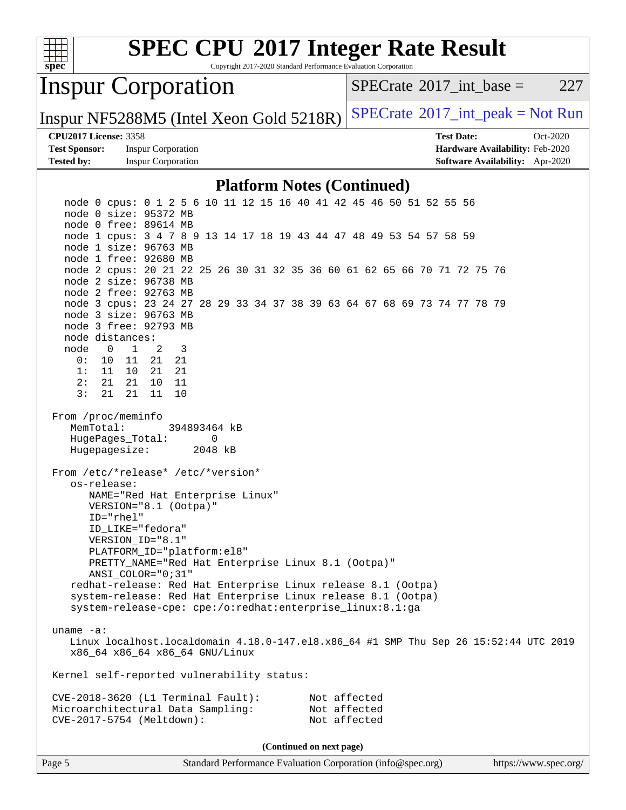

Page 5 Standard Performance Evaluation Corporation [\(info@spec.org\)](mailto:info@spec.org) <https://www.spec.org/>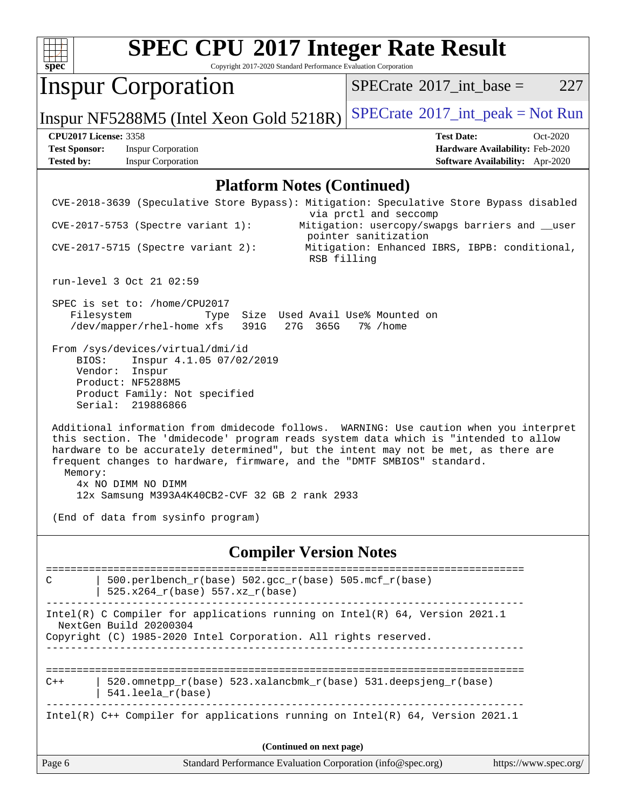| ч<br>e<br>L. |  |  |  |  |  |
|--------------|--|--|--|--|--|

Copyright 2017-2020 Standard Performance Evaluation Corporation

# Inspur Corporation

 $SPECTate@2017_int\_base = 227$ 

Inspur NF5288M5 (Intel Xeon Gold 5218R)  $SPECTate$ <sup>®[2017\\_int\\_peak = N](http://www.spec.org/auto/cpu2017/Docs/result-fields.html#SPECrate2017intpeak)ot Run</sup>

**[Test Sponsor:](http://www.spec.org/auto/cpu2017/Docs/result-fields.html#TestSponsor)** Inspur Corporation **[Hardware Availability:](http://www.spec.org/auto/cpu2017/Docs/result-fields.html#HardwareAvailability)** Feb-2020 **[Tested by:](http://www.spec.org/auto/cpu2017/Docs/result-fields.html#Testedby)** Inspur Corporation **[Software Availability:](http://www.spec.org/auto/cpu2017/Docs/result-fields.html#SoftwareAvailability)** Apr-2020

**[CPU2017 License:](http://www.spec.org/auto/cpu2017/Docs/result-fields.html#CPU2017License)** 3358 **[Test Date:](http://www.spec.org/auto/cpu2017/Docs/result-fields.html#TestDate)** Oct-2020

### **[Platform Notes \(Continued\)](http://www.spec.org/auto/cpu2017/Docs/result-fields.html#PlatformNotes)**

| C<br>$C++$<br>Page 6 | <b>Compiler Version Notes</b><br>500.perlbench_r(base) 502.gcc_r(base) 505.mcf_r(base)<br>525.x264_r(base) 557.xz_r(base)<br>Intel(R) C Compiler for applications running on $Intel(R) 64$ , Version 2021.1<br>NextGen Build 20200304<br>Copyright (C) 1985-2020 Intel Corporation. All rights reserved.<br>520.omnetpp_r(base) 523.xalancbmk_r(base) 531.deepsjeng_r(base)<br>541.leela_r(base)<br>Intel(R) C++ Compiler for applications running on Intel(R) 64, Version 2021.1<br>(Continued on next page)<br>Standard Performance Evaluation Corporation (info@spec.org)<br>https://www.spec.org/ |
|----------------------|-------------------------------------------------------------------------------------------------------------------------------------------------------------------------------------------------------------------------------------------------------------------------------------------------------------------------------------------------------------------------------------------------------------------------------------------------------------------------------------------------------------------------------------------------------------------------------------------------------|
|                      |                                                                                                                                                                                                                                                                                                                                                                                                                                                                                                                                                                                                       |
|                      |                                                                                                                                                                                                                                                                                                                                                                                                                                                                                                                                                                                                       |
|                      |                                                                                                                                                                                                                                                                                                                                                                                                                                                                                                                                                                                                       |
|                      |                                                                                                                                                                                                                                                                                                                                                                                                                                                                                                                                                                                                       |
|                      |                                                                                                                                                                                                                                                                                                                                                                                                                                                                                                                                                                                                       |
|                      |                                                                                                                                                                                                                                                                                                                                                                                                                                                                                                                                                                                                       |
| Memory:              | Additional information from dmidecode follows. WARNING: Use caution when you interpret<br>this section. The 'dmidecode' program reads system data which is "intended to allow<br>hardware to be accurately determined", but the intent may not be met, as there are<br>frequent changes to hardware, firmware, and the "DMTF SMBIOS" standard.<br>4x NO DIMM NO DIMM<br>12x Samsung M393A4K40CB2-CVF 32 GB 2 rank 2933<br>(End of data from sysinfo program)                                                                                                                                          |
| BIOS:                | From /sys/devices/virtual/dmi/id<br>Inspur 4.1.05 07/02/2019<br>Vendor: Inspur<br>Product: NF5288M5<br>Product Family: Not specified<br>Serial: 219886866                                                                                                                                                                                                                                                                                                                                                                                                                                             |
|                      | SPEC is set to: /home/CPU2017<br>Type Size Used Avail Use% Mounted on<br>Filesystem<br>/dev/mapper/rhel-home xfs 391G 27G 365G 7% /home                                                                                                                                                                                                                                                                                                                                                                                                                                                               |
|                      | run-level 3 Oct 21 02:59                                                                                                                                                                                                                                                                                                                                                                                                                                                                                                                                                                              |
|                      | pointer sanitization<br>$CVE-2017-5715$ (Spectre variant 2):<br>Mitigation: Enhanced IBRS, IBPB: conditional,<br>RSB filling                                                                                                                                                                                                                                                                                                                                                                                                                                                                          |
|                      |                                                                                                                                                                                                                                                                                                                                                                                                                                                                                                                                                                                                       |
|                      | CVE-2018-3639 (Speculative Store Bypass): Mitigation: Speculative Store Bypass disabled<br>via prctl and seccomp<br>Mitigation: usercopy/swapgs barriers and __user<br>$CVE-2017-5753$ (Spectre variant 1):                                                                                                                                                                                                                                                                                                                                                                                           |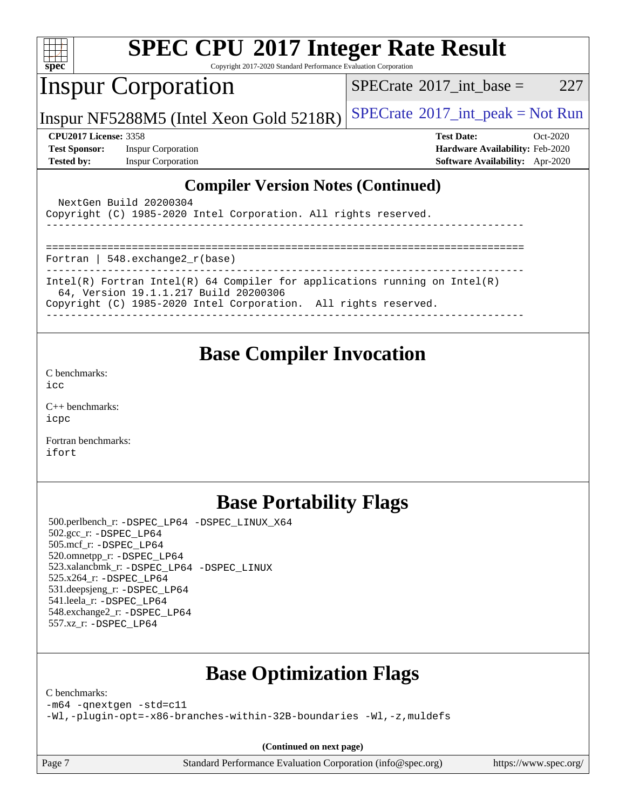| <b>SPEC CPU®2017 Integer Rate Result</b><br>$spec^*$<br>Copyright 2017-2020 Standard Performance Evaluation Corporation                                                                  |                                                |  |  |  |
|------------------------------------------------------------------------------------------------------------------------------------------------------------------------------------------|------------------------------------------------|--|--|--|
| <b>Inspur Corporation</b>                                                                                                                                                                | $SPECTate$ <sup>®</sup> 2017_int_base =<br>227 |  |  |  |
| Inspur NF5288M5 (Intel Xeon Gold 5218R)                                                                                                                                                  | $SPECrate^{\circ}2017\_int\_peak = Not Run$    |  |  |  |
| <b>CPU2017 License: 3358</b>                                                                                                                                                             | <b>Test Date:</b><br>$Oct-2020$                |  |  |  |
| <b>Test Sponsor:</b><br><b>Inspur Corporation</b>                                                                                                                                        | Hardware Availability: Feb-2020                |  |  |  |
| <b>Tested by:</b><br><b>Inspur Corporation</b>                                                                                                                                           | <b>Software Availability:</b> Apr-2020         |  |  |  |
| <b>Compiler Version Notes (Continued)</b><br>NextGen Build 20200304<br>Copyright (C) 1985-2020 Intel Corporation. All rights reserved.<br>Fortran   $548$ . exchange $2r$ (base)         |                                                |  |  |  |
| $Intel(R)$ Fortran Intel(R) 64 Compiler for applications running on Intel(R)<br>64, Version 19.1.1.217 Build 20200306<br>Copyright (C) 1985-2020 Intel Corporation. All rights reserved. |                                                |  |  |  |
| <b>Base Compiler Invocation</b>                                                                                                                                                          |                                                |  |  |  |

[C benchmarks](http://www.spec.org/auto/cpu2017/Docs/result-fields.html#Cbenchmarks): [icc](http://www.spec.org/cpu2017/results/res2020q4/cpu2017-20201022-24235.flags.html#user_CCbase_intel_icc_66fc1ee009f7361af1fbd72ca7dcefbb700085f36577c54f309893dd4ec40d12360134090235512931783d35fd58c0460139e722d5067c5574d8eaf2b3e37e92)

[C++ benchmarks:](http://www.spec.org/auto/cpu2017/Docs/result-fields.html#CXXbenchmarks) [icpc](http://www.spec.org/cpu2017/results/res2020q4/cpu2017-20201022-24235.flags.html#user_CXXbase_intel_icpc_c510b6838c7f56d33e37e94d029a35b4a7bccf4766a728ee175e80a419847e808290a9b78be685c44ab727ea267ec2f070ec5dc83b407c0218cded6866a35d07)

[Fortran benchmarks](http://www.spec.org/auto/cpu2017/Docs/result-fields.html#Fortranbenchmarks): [ifort](http://www.spec.org/cpu2017/results/res2020q4/cpu2017-20201022-24235.flags.html#user_FCbase_intel_ifort_8111460550e3ca792625aed983ce982f94888b8b503583aa7ba2b8303487b4d8a21a13e7191a45c5fd58ff318f48f9492884d4413fa793fd88dd292cad7027ca)

### **[Base Portability Flags](http://www.spec.org/auto/cpu2017/Docs/result-fields.html#BasePortabilityFlags)**

 500.perlbench\_r: [-DSPEC\\_LP64](http://www.spec.org/cpu2017/results/res2020q4/cpu2017-20201022-24235.flags.html#b500.perlbench_r_basePORTABILITY_DSPEC_LP64) [-DSPEC\\_LINUX\\_X64](http://www.spec.org/cpu2017/results/res2020q4/cpu2017-20201022-24235.flags.html#b500.perlbench_r_baseCPORTABILITY_DSPEC_LINUX_X64) 502.gcc\_r: [-DSPEC\\_LP64](http://www.spec.org/cpu2017/results/res2020q4/cpu2017-20201022-24235.flags.html#suite_basePORTABILITY502_gcc_r_DSPEC_LP64) 505.mcf\_r: [-DSPEC\\_LP64](http://www.spec.org/cpu2017/results/res2020q4/cpu2017-20201022-24235.flags.html#suite_basePORTABILITY505_mcf_r_DSPEC_LP64) 520.omnetpp\_r: [-DSPEC\\_LP64](http://www.spec.org/cpu2017/results/res2020q4/cpu2017-20201022-24235.flags.html#suite_basePORTABILITY520_omnetpp_r_DSPEC_LP64) 523.xalancbmk\_r: [-DSPEC\\_LP64](http://www.spec.org/cpu2017/results/res2020q4/cpu2017-20201022-24235.flags.html#suite_basePORTABILITY523_xalancbmk_r_DSPEC_LP64) [-DSPEC\\_LINUX](http://www.spec.org/cpu2017/results/res2020q4/cpu2017-20201022-24235.flags.html#b523.xalancbmk_r_baseCXXPORTABILITY_DSPEC_LINUX) 525.x264\_r: [-DSPEC\\_LP64](http://www.spec.org/cpu2017/results/res2020q4/cpu2017-20201022-24235.flags.html#suite_basePORTABILITY525_x264_r_DSPEC_LP64) 531.deepsjeng\_r: [-DSPEC\\_LP64](http://www.spec.org/cpu2017/results/res2020q4/cpu2017-20201022-24235.flags.html#suite_basePORTABILITY531_deepsjeng_r_DSPEC_LP64) 541.leela\_r: [-DSPEC\\_LP64](http://www.spec.org/cpu2017/results/res2020q4/cpu2017-20201022-24235.flags.html#suite_basePORTABILITY541_leela_r_DSPEC_LP64) 548.exchange2\_r: [-DSPEC\\_LP64](http://www.spec.org/cpu2017/results/res2020q4/cpu2017-20201022-24235.flags.html#suite_basePORTABILITY548_exchange2_r_DSPEC_LP64) 557.xz\_r: [-DSPEC\\_LP64](http://www.spec.org/cpu2017/results/res2020q4/cpu2017-20201022-24235.flags.html#suite_basePORTABILITY557_xz_r_DSPEC_LP64)

# **[Base Optimization Flags](http://www.spec.org/auto/cpu2017/Docs/result-fields.html#BaseOptimizationFlags)**

[C benchmarks](http://www.spec.org/auto/cpu2017/Docs/result-fields.html#Cbenchmarks):

[-m64](http://www.spec.org/cpu2017/results/res2020q4/cpu2017-20201022-24235.flags.html#user_CCbase_m64-icc) [-qnextgen](http://www.spec.org/cpu2017/results/res2020q4/cpu2017-20201022-24235.flags.html#user_CCbase_f-qnextgen) [-std=c11](http://www.spec.org/cpu2017/results/res2020q4/cpu2017-20201022-24235.flags.html#user_CCbase_std-icc-std_0e1c27790398a4642dfca32ffe6c27b5796f9c2d2676156f2e42c9c44eaad0c049b1cdb667a270c34d979996257aeb8fc440bfb01818dbc9357bd9d174cb8524)

[-Wl,-plugin-opt=-x86-branches-within-32B-boundaries](http://www.spec.org/cpu2017/results/res2020q4/cpu2017-20201022-24235.flags.html#user_CCbase_f-x86-branches-within-32B-boundaries_0098b4e4317ae60947b7b728078a624952a08ac37a3c797dfb4ffeb399e0c61a9dd0f2f44ce917e9361fb9076ccb15e7824594512dd315205382d84209e912f3) [-Wl,-z,muldefs](http://www.spec.org/cpu2017/results/res2020q4/cpu2017-20201022-24235.flags.html#user_CCbase_link_force_multiple1_b4cbdb97b34bdee9ceefcfe54f4c8ea74255f0b02a4b23e853cdb0e18eb4525ac79b5a88067c842dd0ee6996c24547a27a4b99331201badda8798ef8a743f577)

**(Continued on next page)**

Page 7 Standard Performance Evaluation Corporation [\(info@spec.org\)](mailto:info@spec.org) <https://www.spec.org/>